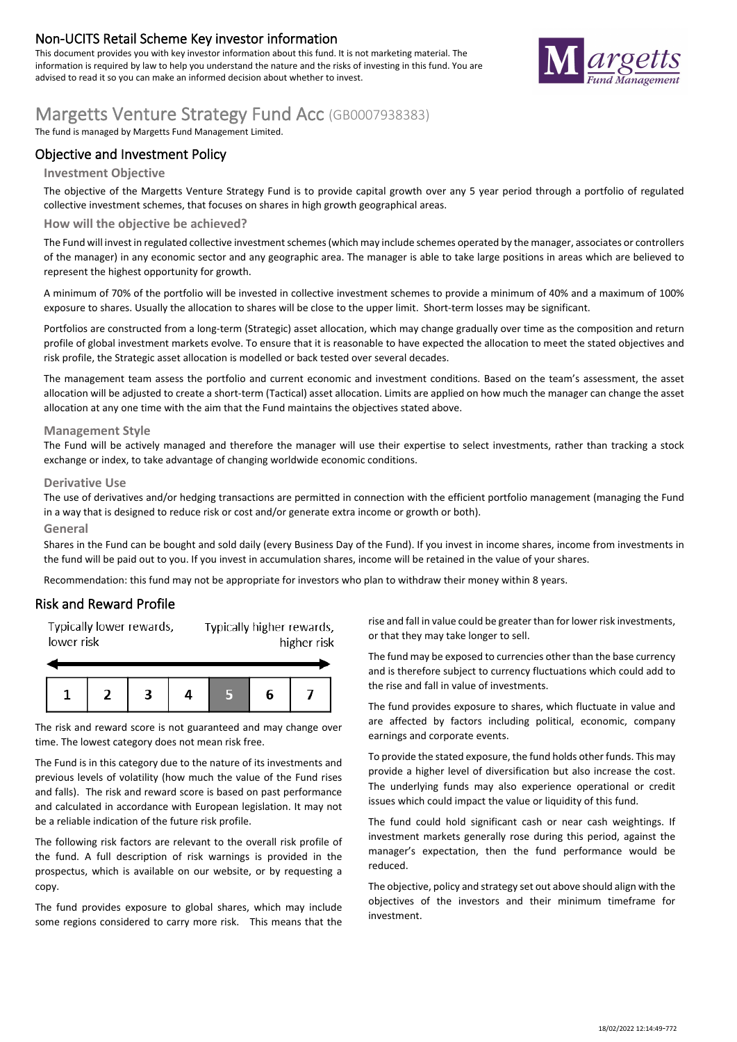### **Non-UCITS Retail Scheme Key investor information**

This document provides you with key investor information about this fund. It is not marketing material. The information is required by law to help you understand the nature and the risks of investing in this fund. You are advised to read it so you can make an informed decision about whether to invest.



# **Margetts Venture Strategy Fund Acc** (GB0007938383)

The fund is managed by Margetts Fund Management Limited.

### **Objective and Investment Policy**

#### **Investment Objective**

The objective of the Margetts Venture Strategy Fund is to provide capital growth over any 5 year period through a portfolio of regulated collective investment schemes, that focuses on shares in high growth geographical areas.

#### **How will the objective be achieved?**

The Fund will invest in regulated collective investment schemes (which may include schemes operated by the manager, associates or controllers of the manager) in any economic sector and any geographic area. The manager is able to take large positions in areas which are believed to represent the highest opportunity for growth.

A minimum of 70% of the portfolio will be invested in collective investment schemes to provide a minimum of 40% and a maximum of 100% exposure to shares. Usually the allocation to shares will be close to the upper limit. Short-term losses may be significant.

Portfolios are constructed from a long-term (Strategic) asset allocation, which may change gradually over time as the composition and return profile of global investment markets evolve. To ensure that it is reasonable to have expected the allocation to meet the stated objectives and risk profile, the Strategic asset allocation is modelled or back tested over several decades.

The management team assess the portfolio and current economic and investment conditions. Based on the team's assessment, the asset allocation will be adjusted to create a short-term (Tactical) asset allocation. Limits are applied on how much the manager can change the asset allocation at any one time with the aim that the Fund maintains the objectives stated above.

#### **Management Style**

The Fund will be actively managed and therefore the manager will use their expertise to select investments, rather than tracking a stock exchange or index, to take advantage of changing worldwide economic conditions.

#### **Derivative Use**

The use of derivatives and/or hedging transactions are permitted in connection with the efficient portfolio management (managing the Fund in a way that is designed to reduce risk or cost and/or generate extra income or growth or both).

#### **General**

Shares in the Fund can be bought and sold daily (every Business Day of the Fund). If you invest in income shares, income from investments in the fund will be paid out to you. If you invest in accumulation shares, income will be retained in the value of your shares.

Recommendation: this fund may not be appropriate for investors who plan to withdraw their money within 8 years.

#### **Risk and Reward Profile**

Typically lower rewards. Typically higher rewards, lower risk higher risk



The risk and reward score is not guaranteed and may change over time. The lowest category does not mean risk free.

The Fund is in this category due to the nature of its investments and previous levels of volatility (how much the value of the Fund rises and falls). The risk and reward score is based on past performance and calculated in accordance with European legislation. It may not be a reliable indication of the future risk profile.

The following risk factors are relevant to the overall risk profile of the fund. A full description of risk warnings is provided in the prospectus, which is available on our website, or by requesting a copy.

The fund provides exposure to global shares, which may include some regions considered to carry more risk. This means that the

rise and fall in value could be greater than for lower risk investments, or that they may take longer to sell.

The fund may be exposed to currencies other than the base currency and is therefore subject to currency fluctuations which could add to the rise and fall in value of investments.

The fund provides exposure to shares, which fluctuate in value and are affected by factors including political, economic, company earnings and corporate events.

To provide the stated exposure, the fund holds other funds. This may provide a higher level of diversification but also increase the cost. The underlying funds may also experience operational or credit issues which could impact the value or liquidity of this fund.

The fund could hold significant cash or near cash weightings. If investment markets generally rose during this period, against the manager's expectation, then the fund performance would be reduced.

The objective, policy and strategy set out above should align with the objectives of the investors and their minimum timeframe for investment.